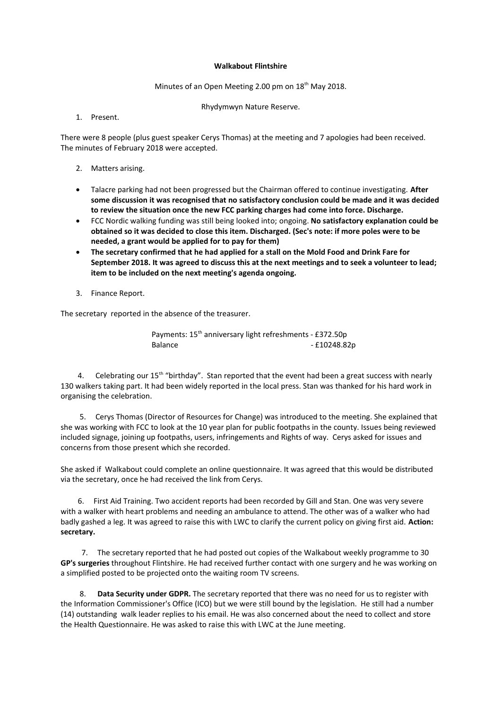## **Walkabout Flintshire**

Minutes of an Open Meeting 2.00 pm on 18<sup>th</sup> May 2018.

Rhydymwyn Nature Reserve.

1. Present.

There were 8 people (plus guest speaker Cerys Thomas) at the meeting and 7 apologies had been received. The minutes of February 2018 were accepted.

- 2. Matters arising.
- Talacre parking had not been progressed but the Chairman offered to continue investigating. **After some discussion it was recognised that no satisfactory conclusion could be made and it was decided to review the situation once the new FCC parking charges had come into force. Discharge.**
- FCC Nordic walking funding was still being looked into; ongoing. **No satisfactory explanation could be obtained so it was decided to close this item. Discharged. (Sec's note: if more poles were to be needed, a grant would be applied for to pay for them)**
- **The secretary confirmed that he had applied for a stall on the Mold Food and Drink Fare for September 2018. It was agreed to discuss this at the next meetings and to seek a volunteer to lead; item to be included on the next meeting's agenda ongoing.**
- 3. Finance Report.

The secretary reported in the absence of the treasurer.

Payments: 15<sup>th</sup> anniversary light refreshments - £372.50p Balance - £10248.82p

4. Celebrating our  $15<sup>th</sup>$  "birthday". Stan reported that the event had been a great success with nearly 130 walkers taking part. It had been widely reported in the local press. Stan was thanked for his hard work in organising the celebration.

 5. Cerys Thomas (Director of Resources for Change) was introduced to the meeting. She explained that she was working with FCC to look at the 10 year plan for public footpaths in the county. Issues being reviewed included signage, joining up footpaths, users, infringements and Rights of way. Cerys asked for issues and concerns from those present which she recorded.

She asked if Walkabout could complete an online questionnaire. It was agreed that this would be distributed via the secretary, once he had received the link from Cerys.

 6. First Aid Training. Two accident reports had been recorded by Gill and Stan. One was very severe with a walker with heart problems and needing an ambulance to attend. The other was of a walker who had badly gashed a leg. It was agreed to raise this with LWC to clarify the current policy on giving first aid. **Action: secretary.** 

 7. The secretary reported that he had posted out copies of the Walkabout weekly programme to 30 **GP's surgeries** throughout Flintshire. He had received further contact with one surgery and he was working on a simplified posted to be projected onto the waiting room TV screens.

Data Security under GDPR. The secretary reported that there was no need for us to register with the Information Commissioner's Office (ICO) but we were still bound by the legislation. He still had a number (14) outstanding walk leader replies to his email. He was also concerned about the need to collect and store the Health Questionnaire. He was asked to raise this with LWC at the June meeting.